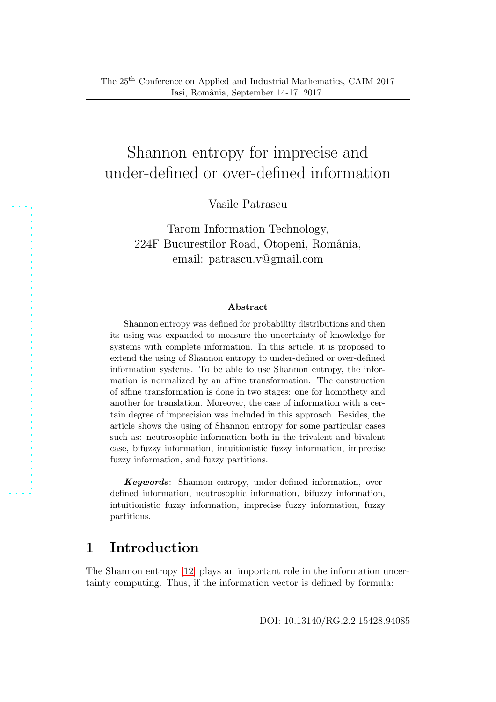# Shannon entropy for imprecise and under-defined or over-defined information

Vasile Patrascu

Tarom Information Technology, 224F Bucurestilor Road, Otopeni, România, email: patrascu.v@gmail.com

#### Abstract

Shannon entropy was defined for probability distributions and then its using was expanded to measure the uncertainty of knowledge for systems with complete information. In this article, it is proposed to extend the using of Shannon entropy to under-defined or over-defined information systems. To be able to use Shannon entropy, the information is normalized by an affine transformation. The construction of affine transformation is done in two stages: one for homothety and another for translation. Moreover, the case of information with a certain degree of imprecision was included in this approach. Besides, the article shows the using of Shannon entropy for some particular cases such as: neutrosophic information both in the trivalent and bivalent case, bifuzzy information, intuitionistic fuzzy information, imprecise fuzzy information, and fuzzy partitions.

Keywords: Shannon entropy, under-defined information, overdefined information, neutrosophic information, bifuzzy information, intuitionistic fuzzy information, imprecise fuzzy information, fuzzy partitions.

## 1 Introduction

The Shannon entropy [\[12\]](#page-16-0) plays an important role in the information uncertainty computing. Thus, if the information vector is defined by formula: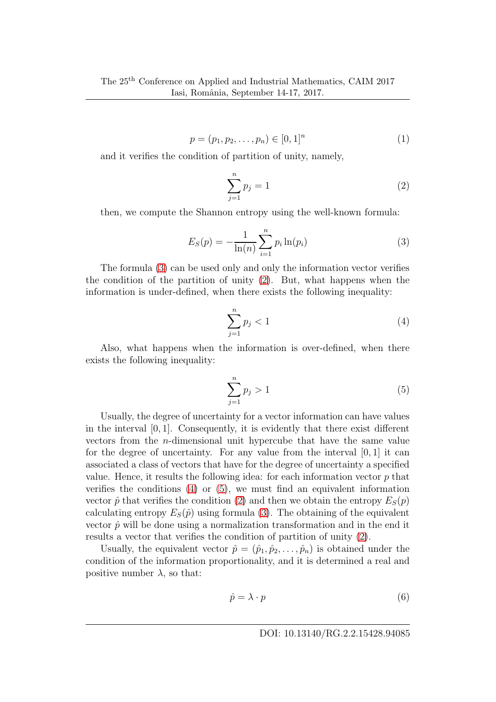<span id="page-1-4"></span>
$$
p = (p_1, p_2, \dots, p_n) \in [0, 1]^n
$$
 (1)

and it verifies the condition of partition of unity, namely,

<span id="page-1-1"></span>
$$
\sum_{j=1}^{n} p_j = 1
$$
 (2)

then, we compute the Shannon entropy using the well-known formula:

<span id="page-1-0"></span>
$$
E_S(p) = -\frac{1}{\ln(n)} \sum_{i=1}^n p_i \ln(p_i)
$$
 (3)

The formula [\(3\)](#page-1-0) can be used only and only the information vector verifies the condition of the partition of unity [\(2\)](#page-1-1). But, what happens when the information is under-defined, when there exists the following inequality:

<span id="page-1-2"></span>
$$
\sum_{j=1}^{n} p_j < 1
$$
 (4)

Also, what happens when the information is over-defined, when there exists the following inequality:

<span id="page-1-3"></span>
$$
\sum_{j=1}^{n} p_j > 1
$$
 (5)

Usually, the degree of uncertainty for a vector information can have values in the interval  $[0, 1]$ . Consequently, it is evidently that there exist different vectors from the n-dimensional unit hypercube that have the same value for the degree of uncertainty. For any value from the interval  $[0, 1]$  it can associated a class of vectors that have for the degree of uncertainty a specified value. Hence, it results the following idea: for each information vector  $p$  that verifies the conditions  $(4)$  or  $(5)$ , we must find an equivalent information vector  $\hat{p}$  that verifies the condition [\(2\)](#page-1-1) and then we obtain the entropy  $E_S(p)$ calculating entropy  $E_s(\hat{p})$  using formula [\(3\)](#page-1-0). The obtaining of the equivalent vector  $\hat{p}$  will be done using a normalization transformation and in the end it results a vector that verifies the condition of partition of unity [\(2\)](#page-1-1).

Usually, the equivalent vector  $\hat{p} = (\hat{p}_1, \hat{p}_2, \dots, \hat{p}_n)$  is obtained under the condition of the information proportionality, and it is determined a real and positive number  $\lambda$ , so that:

$$
\hat{p} = \lambda \cdot p \tag{6}
$$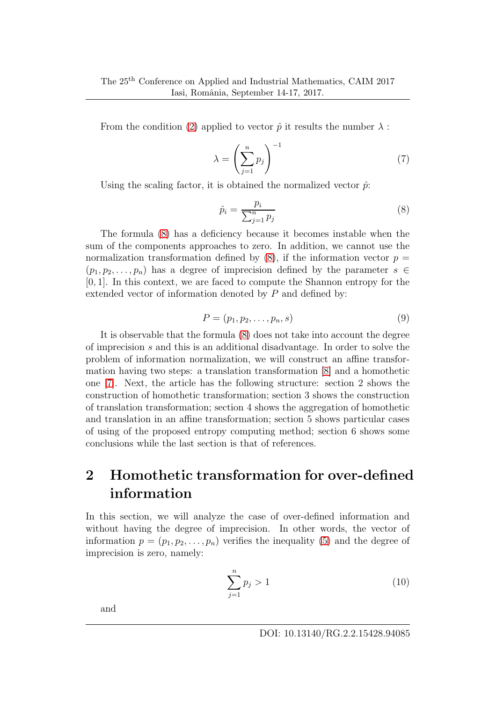From the condition [\(2\)](#page-1-1) applied to vector  $\hat{p}$  it results the number  $\lambda$ :

$$
\lambda = \left(\sum_{j=1}^{n} p_j\right)^{-1} \tag{7}
$$

Using the scaling factor, it is obtained the normalized vector  $\hat{p}$ :

<span id="page-2-0"></span>
$$
\hat{p}_i = \frac{p_i}{\sum_{j=1}^n p_j} \tag{8}
$$

The formula [\(8\)](#page-2-0) has a deficiency because it becomes instable when the sum of the components approaches to zero. In addition, we cannot use the normalization transformation defined by  $(8)$ , if the information vector  $p =$  $(p_1, p_2, \ldots, p_n)$  has a degree of imprecision defined by the parameter  $s \in \mathbb{R}$ [0, 1]. In this context, we are faced to compute the Shannon entropy for the extended vector of information denoted by P and defined by:

<span id="page-2-1"></span>
$$
P = (p_1, p_2, \dots, p_n, s) \tag{9}
$$

It is observable that the formula [\(8\)](#page-2-0) does not take into account the degree of imprecision s and this is an additional disadvantage. In order to solve the problem of information normalization, we will construct an affine transformation having two steps: a translation transformation [\[8\]](#page-16-1) and a homothetic one [\[7\]](#page-16-2). Next, the article has the following structure: section 2 shows the construction of homothetic transformation; section 3 shows the construction of translation transformation; section 4 shows the aggregation of homothetic and translation in an affine transformation; section 5 shows particular cases of using of the proposed entropy computing method; section 6 shows some conclusions while the last section is that of references.

# 2 Homothetic transformation for over-defined information

In this section, we will analyze the case of over-defined information and without having the degree of imprecision. In other words, the vector of information  $p = (p_1, p_2, \ldots, p_n)$  verifies the inequality [\(5\)](#page-1-3) and the degree of imprecision is zero, namely:

$$
\sum_{j=1}^{n} p_j > 1
$$
 (10)

and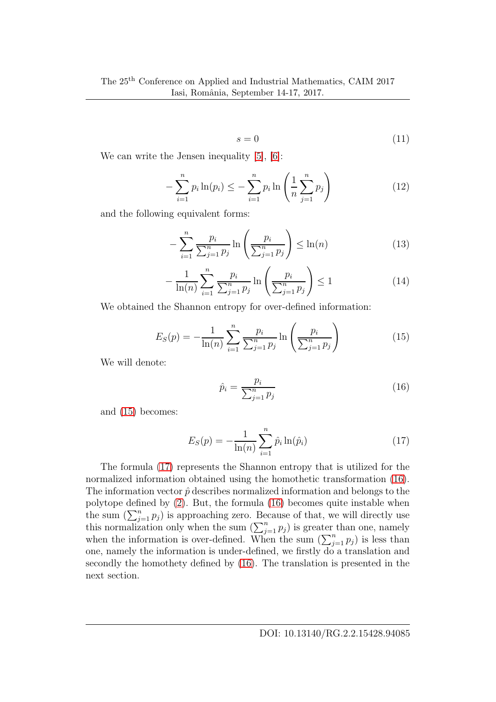$$
s = 0 \tag{11}
$$

We can write the Jensen inequality [\[5\]](#page-15-0), [\[6\]](#page-16-3):

$$
-\sum_{i=1}^{n} p_i \ln(p_i) \le -\sum_{i=1}^{n} p_i \ln\left(\frac{1}{n} \sum_{j=1}^{n} p_j\right)
$$
 (12)

and the following equivalent forms:

$$
-\sum_{i=1}^{n} \frac{p_i}{\sum_{j=1}^{n} p_j} \ln \left( \frac{p_i}{\sum_{j=1}^{n} p_j} \right) \le \ln(n) \tag{13}
$$

$$
-\frac{1}{\ln(n)}\sum_{i=1}^{n}\frac{p_i}{\sum_{j=1}^{n}p_j}\ln\left(\frac{p_i}{\sum_{j=1}^{n}p_j}\right) \le 1
$$
\n(14)

We obtained the Shannon entropy for over-defined information:

<span id="page-3-0"></span>
$$
E_S(p) = -\frac{1}{\ln(n)} \sum_{i=1}^n \frac{p_i}{\sum_{j=1}^n p_j} \ln\left(\frac{p_i}{\sum_{j=1}^n p_j}\right)
$$
(15)

We will denote:

<span id="page-3-2"></span>
$$
\hat{p}_i = \frac{p_i}{\sum_{j=1}^n p_j} \tag{16}
$$

and [\(15\)](#page-3-0) becomes:

<span id="page-3-1"></span>
$$
E_S(p) = -\frac{1}{\ln(n)} \sum_{i=1}^n \hat{p}_i \ln(\hat{p}_i)
$$
 (17)

The formula [\(17\)](#page-3-1) represents the Shannon entropy that is utilized for the normalized information obtained using the homothetic transformation [\(16\)](#page-3-2). The information vector  $\hat{p}$  describes normalized information and belongs to the polytope defined by [\(2\)](#page-1-1). But, the formula [\(16\)](#page-3-2) becomes quite instable when the sum  $(\sum_{j=1}^n p_j)$  is approaching zero. Because of that, we will directly use this normalization only when the sum  $(\sum_{j=1}^n p_j)$  is greater than one, namely when the information is over-defined. When the sum  $(\sum_{j=1}^n p_j)$  is less than one, namely the information is under-defined, we firstly do a translation and secondly the homothety defined by [\(16\)](#page-3-2). The translation is presented in the next section.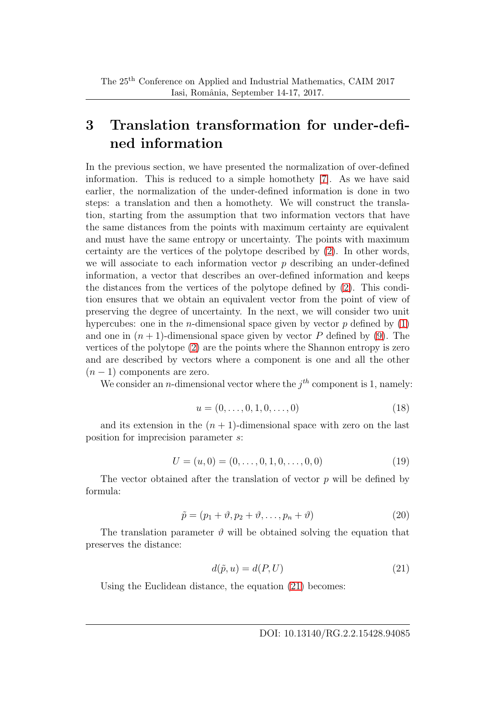# 3 Translation transformation for under-defined information

In the previous section, we have presented the normalization of over-defined information. This is reduced to a simple homothety [\[7\]](#page-16-2). As we have said earlier, the normalization of the under-defined information is done in two steps: a translation and then a homothety. We will construct the translation, starting from the assumption that two information vectors that have the same distances from the points with maximum certainty are equivalent and must have the same entropy or uncertainty. The points with maximum certainty are the vertices of the polytope described by [\(2\)](#page-1-1). In other words, we will associate to each information vector  $p$  describing an under-defined information, a vector that describes an over-defined information and keeps the distances from the vertices of the polytope defined by [\(2\)](#page-1-1). This condition ensures that we obtain an equivalent vector from the point of view of preserving the degree of uncertainty. In the next, we will consider two unit hypercubes: one in the *n*-dimensional space given by vector  $p$  defined by  $(1)$ and one in  $(n+1)$ -dimensional space given by vector P defined by [\(9\)](#page-2-1). The vertices of the polytope [\(2\)](#page-1-1) are the points where the Shannon entropy is zero and are described by vectors where a component is one and all the other  $(n-1)$  components are zero.

We consider an *n*-dimensional vector where the  $j<sup>th</sup>$  component is 1, namely:

$$
u = (0, \dots, 0, 1, 0, \dots, 0)
$$
\n(18)

and its extension in the  $(n + 1)$ -dimensional space with zero on the last position for imprecision parameter s:

$$
U = (u, 0) = (0, \dots, 0, 1, 0, \dots, 0, 0)
$$
\n
$$
(19)
$$

The vector obtained after the translation of vector p will be defined by formula:

$$
\tilde{p} = (p_1 + \vartheta, p_2 + \vartheta, \dots, p_n + \vartheta)
$$
\n(20)

The translation parameter  $\vartheta$  will be obtained solving the equation that preserves the distance:

<span id="page-4-0"></span>
$$
d(\tilde{p}, u) = d(P, U) \tag{21}
$$

Using the Euclidean distance, the equation [\(21\)](#page-4-0) becomes: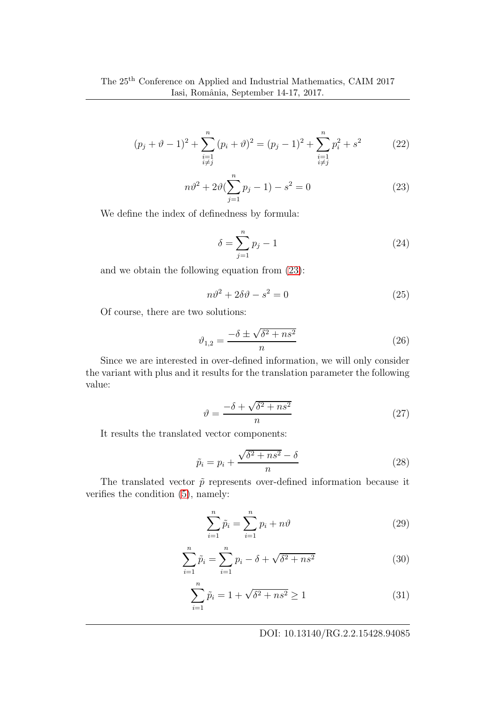$$
(p_j + \vartheta - 1)^2 + \sum_{\substack{i=1 \ i \neq j}}^n (p_i + \vartheta)^2 = (p_j - 1)^2 + \sum_{\substack{i=1 \ i \neq j}}^n p_i^2 + s^2 \tag{22}
$$

<span id="page-5-0"></span>
$$
n\vartheta^2 + 2\vartheta \left(\sum_{j=1}^n p_j - 1\right) - s^2 = 0\tag{23}
$$

We define the index of definedness by formula:

$$
\delta = \sum_{j=1}^{n} p_j - 1 \tag{24}
$$

and we obtain the following equation from [\(23\)](#page-5-0):

$$
n\vartheta^2 + 2\delta\vartheta - s^2 = 0\tag{25}
$$

Of course, there are two solutions:

$$
\vartheta_{1,2} = \frac{-\delta \pm \sqrt{\delta^2 + ns^2}}{n} \tag{26}
$$

Since we are interested in over-defined information, we will only consider the variant with plus and it results for the translation parameter the following value:

$$
\vartheta = \frac{-\delta + \sqrt{\delta^2 + ns^2}}{n} \tag{27}
$$

It results the translated vector components:

$$
\tilde{p}_i = p_i + \frac{\sqrt{\delta^2 + ns^2} - \delta}{n} \tag{28}
$$

The translated vector  $\tilde{p}$  represents over-defined information because it verifies the condition [\(5\)](#page-1-3), namely:

$$
\sum_{i=1}^{n} \tilde{p}_i = \sum_{i=1}^{n} p_i + n\vartheta
$$
\n(29)

$$
\sum_{i=1}^{n} \tilde{p}_i = \sum_{i=1}^{n} p_i - \delta + \sqrt{\delta^2 + ns^2}
$$
 (30)

$$
\sum_{i=1}^{n} \tilde{p}_i = 1 + \sqrt{\delta^2 + ns^2} \ge 1
$$
\n(31)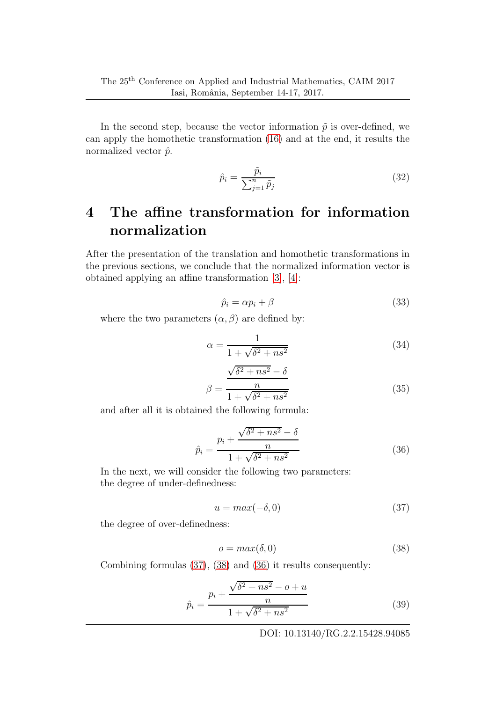In the second step, because the vector information  $\tilde{p}$  is over-defined, we can apply the homothetic transformation [\(16\)](#page-3-2) and at the end, it results the normalized vector  $\hat{p}$ .

$$
\hat{p}_i = \frac{\tilde{p}_i}{\sum_{j=1}^n \tilde{p}_j} \tag{32}
$$

# 4 The affine transformation for information normalization

After the presentation of the translation and homothetic transformations in the previous sections, we conclude that the normalized information vector is obtained applying an affine transformation [\[3\]](#page-15-1), [\[4\]](#page-15-2):

$$
\hat{p}_i = \alpha p_i + \beta \tag{33}
$$

where the two parameters  $(\alpha, \beta)$  are defined by:

$$
\alpha = \frac{1}{1 + \sqrt{\delta^2 + ns^2}}\tag{34}
$$

$$
\beta = \frac{\sqrt{\delta^2 + ns^2} - \delta}{1 + \sqrt{\delta^2 + ns^2}}
$$
\n(35)

and after all it is obtained the following formula:

<span id="page-6-2"></span>
$$
\hat{p}_i = \frac{p_i + \frac{\sqrt{\delta^2 + ns^2} - \delta}{n}}{1 + \sqrt{\delta^2 + ns^2}}
$$
\n(36)

In the next, we will consider the following two parameters: the degree of under-definedness:

<span id="page-6-0"></span>
$$
u = max(-\delta, 0) \tag{37}
$$

the degree of over-definedness:

<span id="page-6-1"></span>
$$
o = max(\delta, 0) \tag{38}
$$

Combining formulas [\(37\)](#page-6-0), [\(38\)](#page-6-1) and [\(36\)](#page-6-2) it results consequently:

$$
\hat{p}_i = \frac{p_i + \frac{\sqrt{\delta^2 + ns^2} - o + u}{n}}{1 + \sqrt{\delta^2 + ns^2}}
$$
\n(39)

DOI: 10.13140/RG.2.2.15428.94085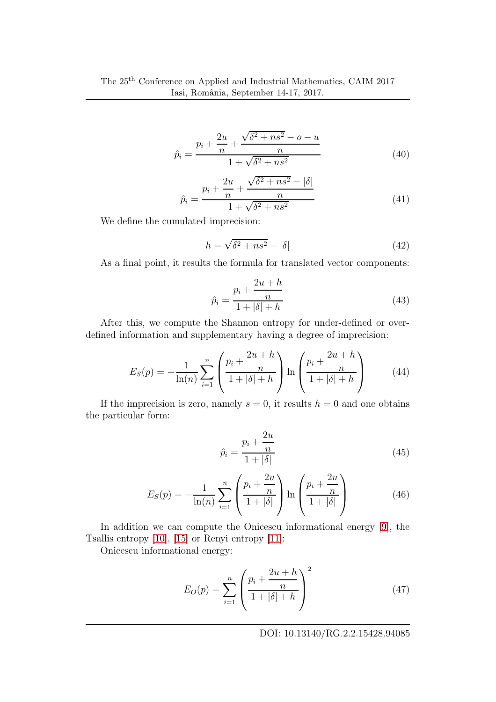$$
\hat{p}_i = \frac{p_i + \frac{2u}{n} + \frac{\sqrt{\delta^2 + ns^2} - o - u}{n}}{1 + \sqrt{\delta^2 + ns^2}}
$$
\n(40)

$$
\hat{p}_i = \frac{p_i + \frac{2u}{n} + \frac{\sqrt{\delta^2 + ns^2} - |\delta|}{n}}{1 + \sqrt{\delta^2 + ns^2}}
$$
\n(41)

We define the cumulated imprecision:

$$
h = \sqrt{\delta^2 + ns^2} - |\delta| \tag{42}
$$

As a final point, it results the formula for translated vector components:

$$
\hat{p}_i = \frac{p_i + \frac{2u + h}{n}}{1 + |\delta| + h} \tag{43}
$$

After this, we compute the Shannon entropy for under-defined or overdefined information and supplementary having a degree of imprecision:

$$
E_S(p) = -\frac{1}{\ln(n)} \sum_{i=1}^n \left( \frac{p_i + \frac{2u + h}{n}}{1 + |\delta| + h} \right) \ln \left( \frac{p_i + \frac{2u + h}{n}}{1 + |\delta| + h} \right) \tag{44}
$$

If the imprecision is zero, namely  $s = 0$ , it results  $h = 0$  and one obtains the particular form:

<span id="page-7-0"></span>
$$
\hat{p}_i = \frac{p_i + \frac{2u}{n}}{1 + |\delta|} \tag{45}
$$

<span id="page-7-1"></span>
$$
E_S(p) = -\frac{1}{\ln(n)} \sum_{i=1}^n \left( \frac{p_i + \frac{2u}{n}}{1 + |\delta|} \right) \ln \left( \frac{p_i + \frac{2u}{n}}{1 + |\delta|} \right) \tag{46}
$$

In addition we can compute the Onicescu informational energy [\[9\]](#page-16-4), the Tsallis entropy [\[10\]](#page-16-5), [\[15\]](#page-16-6) or Renyi entropy [\[11\]](#page-16-7):

Onicescu informational energy:

$$
E_O(p) = \sum_{i=1}^{n} \left( \frac{p_i + \frac{2u + h}{n}}{1 + |\delta| + h} \right)^2
$$
 (47)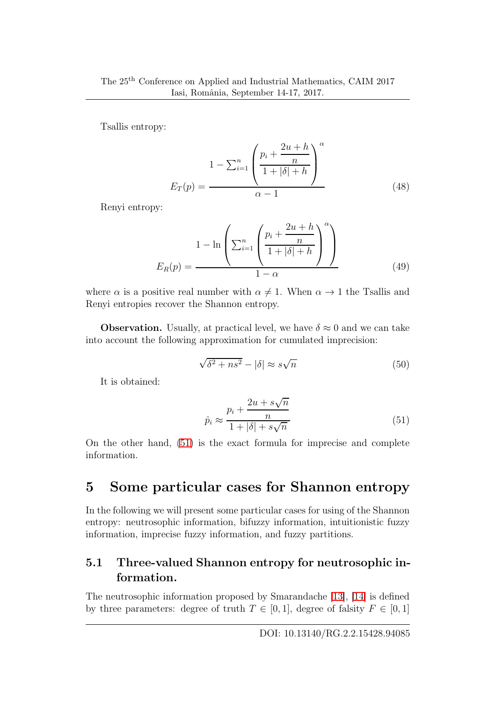Tsallis entropy:

$$
E_T(p) = \frac{1 - \sum_{i=1}^n \left(\frac{p_i + \frac{2u + h}{n}}{1 + |\delta| + h}\right)^{\alpha}}{\alpha - 1}
$$
(48)

Renyi entropy:

$$
E_R(p) = \frac{1 - \ln\left(\sum_{i=1}^n \left(\frac{p_i + \frac{2u + h}{n}}{1 + |\delta| + h}\right)^\alpha\right)}{1 - \alpha} \tag{49}
$$

where  $\alpha$  is a positive real number with  $\alpha \neq 1$ . When  $\alpha \rightarrow 1$  the Tsallis and Renyi entropies recover the Shannon entropy.

**Observation.** Usually, at practical level, we have  $\delta \approx 0$  and we can take into account the following approximation for cumulated imprecision:

$$
\sqrt{\delta^2 + ns^2} - |\delta| \approx s\sqrt{n} \tag{50}
$$

It is obtained:

<span id="page-8-0"></span>
$$
\hat{p}_i \approx \frac{p_i + \frac{2u + s\sqrt{n}}{n}}{1 + |\delta| + s\sqrt{n}}\tag{51}
$$

On the other hand, [\(51\)](#page-8-0) is the exact formula for imprecise and complete information.

## 5 Some particular cases for Shannon entropy

In the following we will present some particular cases for using of the Shannon entropy: neutrosophic information, bifuzzy information, intuitionistic fuzzy information, imprecise fuzzy information, and fuzzy partitions.

### 5.1 Three-valued Shannon entropy for neutrosophic information.

The neutrosophic information proposed by Smarandache [\[13\]](#page-16-8), [\[14\]](#page-16-9) is defined by three parameters: degree of truth  $T \in [0, 1]$ , degree of falsity  $F \in [0, 1]$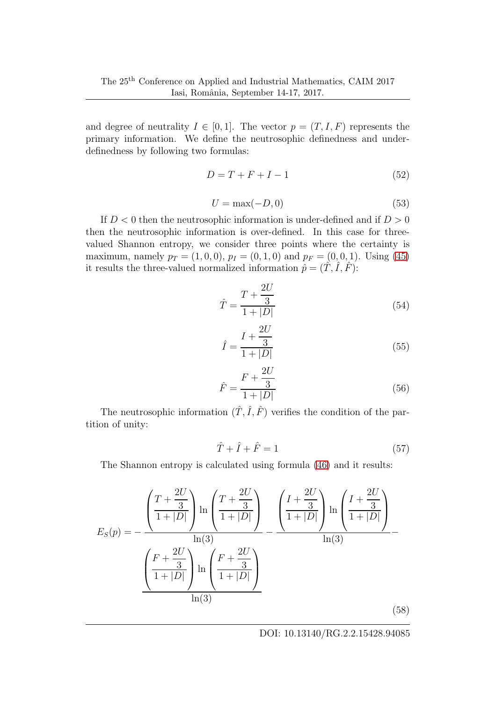and degree of neutrality  $I \in [0,1]$ . The vector  $p = (T, I, F)$  represents the primary information. We define the neutrosophic definedness and underdefinedness by following two formulas:

$$
D = T + F + I - 1\tag{52}
$$

$$
U = \max(-D, 0) \tag{53}
$$

If  $D < 0$  then the neutrosophic information is under-defined and if  $D > 0$ then the neutrosophic information is over-defined. In this case for threevalued Shannon entropy, we consider three points where the certainty is maximum, namely  $p_T = (1, 0, 0), p_I = (0, 1, 0)$  and  $p_F = (0, 0, 1)$ . Using [\(45\)](#page-7-0) it results the three-valued normalized information  $\hat{p} = (\hat{T}, \hat{I}, \hat{F})$ :

$$
\hat{T} = \frac{T + \frac{2U}{3}}{1 + |D|} \tag{54}
$$

$$
\hat{I} = \frac{I + \frac{2U}{3}}{1 + |D|}
$$
\n(55)

$$
\hat{F} = \frac{F + \frac{2U}{3}}{1 + |D|}
$$
\n(56)

The neutrosophic information  $(\hat{T}, \hat{I}, \hat{F})$  verifies the condition of the partition of unity:

$$
\hat{T} + \hat{I} + \hat{F} = 1\tag{57}
$$

The Shannon entropy is calculated using formula [\(46\)](#page-7-1) and it results:

$$
E_S(p) = -\frac{\left(\frac{T + \frac{2U}{3}}{1+|D|}\right) \ln\left(\frac{T + \frac{2U}{3}}{1+|D|}\right)}{\ln(3)} - \frac{\left(\frac{I + \frac{2U}{3}}{1+|D|}\right) \ln\left(\frac{I + \frac{2U}{3}}{1+|D|}\right)}{\ln(3)} - \frac{\left(\frac{F + \frac{2U}{3}}{1+|D|}\right) \ln\left(\frac{F + \frac{2U}{3}}{1+|D|}\right)}{\ln(3)}\right)}
$$
(55)

(58)

DOI: 10.13140/RG.2.2.15428.94085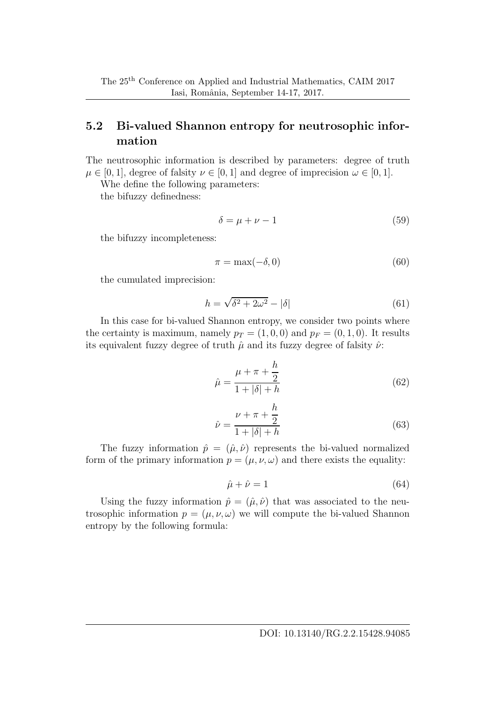### 5.2 Bi-valued Shannon entropy for neutrosophic information

The neutrosophic information is described by parameters: degree of truth  $\mu \in [0, 1]$ , degree of falsity  $\nu \in [0, 1]$  and degree of imprecision  $\omega \in [0, 1]$ .

Whe define the following parameters:

the bifuzzy definedness:

$$
\delta = \mu + \nu - 1 \tag{59}
$$

the bifuzzy incompleteness:

$$
\pi = \max(-\delta, 0) \tag{60}
$$

the cumulated imprecision:

$$
h = \sqrt{\delta^2 + 2\omega^2} - |\delta| \tag{61}
$$

In this case for bi-valued Shannon entropy, we consider two points where the certainty is maximum, namely  $p_T = (1, 0, 0)$  and  $p_F = (0, 1, 0)$ . It results its equivalent fuzzy degree of truth  $\hat{\mu}$  and its fuzzy degree of falsity  $\hat{\nu}$ :

$$
\hat{\mu} = \frac{\mu + \pi + \frac{h}{2}}{1 + |\delta| + h} \tag{62}
$$

$$
\hat{\nu} = \frac{\nu + \pi + \frac{h}{2}}{1 + |\delta| + h} \tag{63}
$$

The fuzzy information  $\hat{p} = (\hat{\mu}, \hat{\nu})$  represents the bi-valued normalized form of the primary information  $p = (\mu, \nu, \omega)$  and there exists the equality:

$$
\hat{\mu} + \hat{\nu} = 1 \tag{64}
$$

Using the fuzzy information  $\hat{p} = (\hat{\mu}, \hat{\nu})$  that was associated to the neutrosophic information  $p = (\mu, \nu, \omega)$  we will compute the bi-valued Shannon entropy by the following formula: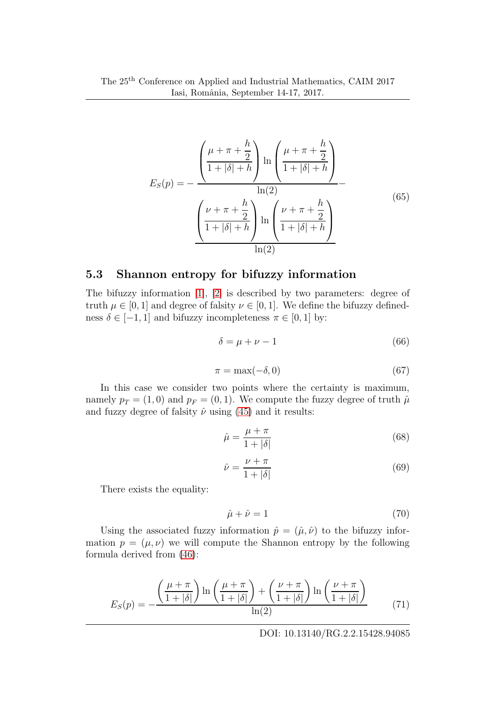$$
E_S(p) = -\frac{\left(\frac{\mu + \pi + \frac{h}{2}}{1 + |\delta| + h}\right) \ln\left(\frac{\mu + \pi + \frac{h}{2}}{1 + |\delta| + h}\right)}{\ln(2)} - \frac{\left(\frac{\nu + \pi + \frac{h}{2}}{1 + |\delta| + h}\right) \ln\left(\frac{\nu + \pi + \frac{h}{2}}{1 + |\delta| + h}\right)}{\ln(2)} \tag{65}
$$

#### 5.3 Shannon entropy for bifuzzy information

The bifuzzy information [\[1\]](#page-15-3), [\[2\]](#page-15-4) is described by two parameters: degree of truth  $\mu \in [0, 1]$  and degree of falsity  $\nu \in [0, 1]$ . We define the bifuzzy definedness  $\delta \in [-1, 1]$  and bifuzzy incompleteness  $\pi \in [0, 1]$  by:

$$
\delta = \mu + \nu - 1 \tag{66}
$$

$$
\pi = \max(-\delta, 0) \tag{67}
$$

In this case we consider two points where the certainty is maximum, namely  $p_T = (1,0)$  and  $p_F = (0,1)$ . We compute the fuzzy degree of truth  $\hat{\mu}$ and fuzzy degree of falsity  $\hat{\nu}$  using [\(45\)](#page-7-0) and it results:

$$
\hat{\mu} = \frac{\mu + \pi}{1 + |\delta|} \tag{68}
$$

$$
\hat{\nu} = \frac{\nu + \pi}{1 + |\delta|} \tag{69}
$$

There exists the equality:

$$
\hat{\mu} + \hat{\nu} = 1\tag{70}
$$

Using the associated fuzzy information  $\hat{p} = (\hat{\mu}, \hat{\nu})$  to the bifuzzy information  $p = (\mu, \nu)$  we will compute the Shannon entropy by the following formula derived from [\(46\)](#page-7-1):

$$
E_S(p) = -\frac{\left(\frac{\mu + \pi}{1 + |\delta|}\right) \ln\left(\frac{\mu + \pi}{1 + |\delta|}\right) + \left(\frac{\nu + \pi}{1 + |\delta|}\right) \ln\left(\frac{\nu + \pi}{1 + |\delta|}\right)}{\ln(2)}\tag{71}
$$

DOI: 10.13140/RG.2.2.15428.94085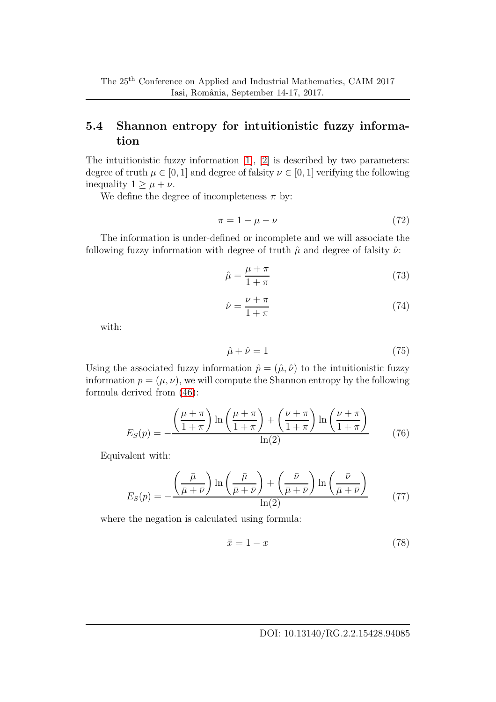### 5.4 Shannon entropy for intuitionistic fuzzy information

The intuitionistic fuzzy information [\[1\]](#page-15-3), [\[2\]](#page-15-4) is described by two parameters: degree of truth  $\mu \in [0, 1]$  and degree of falsity  $\nu \in [0, 1]$  verifying the following inequality  $1 \geq \mu + \nu$ .

We define the degree of incompleteness  $\pi$  by:

$$
\pi = 1 - \mu - \nu \tag{72}
$$

The information is under-defined or incomplete and we will associate the following fuzzy information with degree of truth  $\hat{\mu}$  and degree of falsity  $\hat{\nu}$ :

<span id="page-12-0"></span>
$$
\hat{\mu} = \frac{\mu + \pi}{1 + \pi} \tag{73}
$$

<span id="page-12-1"></span>
$$
\hat{\nu} = \frac{\nu + \pi}{1 + \pi} \tag{74}
$$

with:

$$
\hat{\mu} + \hat{\nu} = 1\tag{75}
$$

Using the associated fuzzy information  $\hat{p} = (\hat{\mu}, \hat{\nu})$  to the intuitionistic fuzzy information  $p = (\mu, \nu)$ , we will compute the Shannon entropy by the following formula derived from [\(46\)](#page-7-1):

$$
E_S(p) = -\frac{\left(\frac{\mu + \pi}{1 + \pi}\right) \ln\left(\frac{\mu + \pi}{1 + \pi}\right) + \left(\frac{\nu + \pi}{1 + \pi}\right) \ln\left(\frac{\nu + \pi}{1 + \pi}\right)}{\ln(2)}\tag{76}
$$

Equivalent with:

<span id="page-12-2"></span>
$$
E_S(p) = -\frac{\left(\frac{\bar{\mu}}{\bar{\mu} + \bar{\nu}}\right) \ln\left(\frac{\bar{\mu}}{\bar{\mu} + \bar{\nu}}\right) + \left(\frac{\bar{\nu}}{\bar{\mu} + \bar{\nu}}\right) \ln\left(\frac{\bar{\nu}}{\bar{\mu} + \bar{\nu}}\right)}{\ln(2)} \tag{77}
$$

where the negation is calculated using formula:

$$
\bar{x} = 1 - x \tag{78}
$$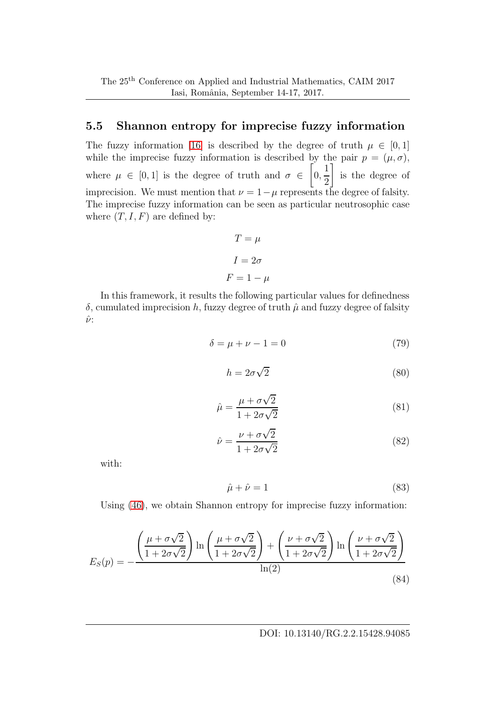### 5.5 Shannon entropy for imprecise fuzzy information

The fuzzy information [\[16\]](#page-16-10) is described by the degree of truth  $\mu \in [0,1]$ while the imprecise fuzzy information is described by the pair  $p = (\mu, \sigma)$ , where  $\mu \in [0,1]$  is the degree of truth and  $\sigma \in \left[0, \frac{1}{2}\right]$ 2 1 is the degree of imprecision. We must mention that  $\nu = 1 - \mu$  represents the degree of falsity. The imprecise fuzzy information can be seen as particular neutrosophic case where  $(T, I, F)$  are defined by:

$$
T = \mu
$$

$$
I = 2\sigma
$$

$$
F = 1 - \mu
$$

In this framework, it results the following particular values for definedness  $δ$ , cumulated imprecision h, fuzzy degree of truth  $\hat{\mu}$  and fuzzy degree of falsity  $\hat{\nu}$ :

$$
\delta = \mu + \nu - 1 = 0 \tag{79}
$$

$$
h = 2\sigma\sqrt{2} \tag{80}
$$

$$
\hat{\mu} = \frac{\mu + \sigma\sqrt{2}}{1 + 2\sigma\sqrt{2}}\tag{81}
$$

$$
\hat{\nu} = \frac{\nu + \sigma\sqrt{2}}{1 + 2\sigma\sqrt{2}}\tag{82}
$$

with:

$$
\hat{\mu} + \hat{\nu} = 1 \tag{83}
$$

Using [\(46\)](#page-7-1), we obtain Shannon entropy for imprecise fuzzy information:

$$
E_S(p) = -\frac{\left(\frac{\mu + \sigma\sqrt{2}}{1 + 2\sigma\sqrt{2}}\right)\ln\left(\frac{\mu + \sigma\sqrt{2}}{1 + 2\sigma\sqrt{2}}\right) + \left(\frac{\nu + \sigma\sqrt{2}}{1 + 2\sigma\sqrt{2}}\right)\ln\left(\frac{\nu + \sigma\sqrt{2}}{1 + 2\sigma\sqrt{2}}\right)}{\ln(2)}\tag{84}
$$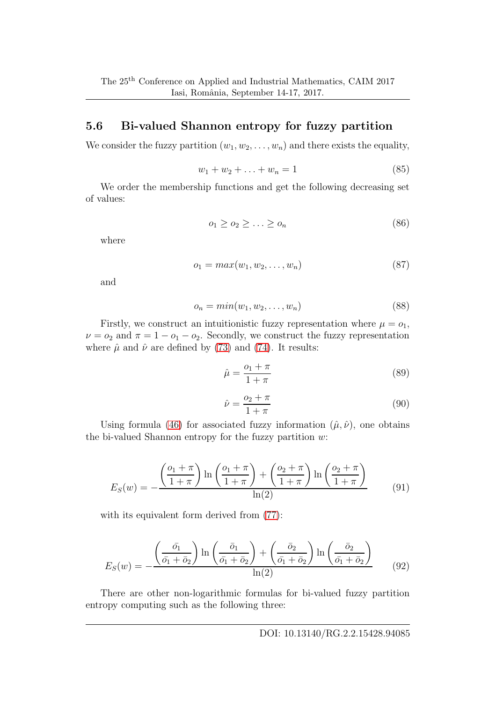### 5.6 Bi-valued Shannon entropy for fuzzy partition

We consider the fuzzy partition  $(w_1, w_2, \ldots, w_n)$  and there exists the equality,

$$
w_1 + w_2 + \ldots + w_n = 1 \tag{85}
$$

We order the membership functions and get the following decreasing set of values:

$$
o_1 \ge o_2 \ge \ldots \ge o_n \tag{86}
$$

where

$$
o_1 = max(w_1, w_2, \dots, w_n) \tag{87}
$$

and

$$
o_n = min(w_1, w_2, \dots, w_n) \tag{88}
$$

Firstly, we construct an intuitionistic fuzzy representation where  $\mu = o_1$ ,  $\nu = o_2$  and  $\pi = 1 - o_1 - o_2$ . Secondly, we construct the fuzzy representation where  $\hat{\mu}$  and  $\hat{\nu}$  are defined by [\(73\)](#page-12-0) and [\(74\)](#page-12-1). It results:

$$
\hat{\mu} = \frac{o_1 + \pi}{1 + \pi} \tag{89}
$$

$$
\hat{\nu} = \frac{o_2 + \pi}{1 + \pi} \tag{90}
$$

Using formula [\(46\)](#page-7-1) for associated fuzzy information  $(\hat{\mu}, \hat{\nu})$ , one obtains the bi-valued Shannon entropy for the fuzzy partition  $w$ :

$$
E_S(w) = -\frac{\left(\frac{o_1 + \pi}{1 + \pi}\right) \ln\left(\frac{o_1 + \pi}{1 + \pi}\right) + \left(\frac{o_2 + \pi}{1 + \pi}\right) \ln\left(\frac{o_2 + \pi}{1 + \pi}\right)}{\ln(2)} \tag{91}
$$

with its equivalent form derived from  $(77)$ :

$$
E_S(w) = -\frac{\left(\frac{\bar{\sigma_1}}{\bar{\sigma_1} + \bar{\sigma}_2}\right) \ln\left(\frac{\bar{\sigma}_1}{\bar{\sigma_1} + \bar{\sigma}_2}\right) + \left(\frac{\bar{\sigma}_2}{\bar{\sigma_1} + \bar{\sigma}_2}\right) \ln\left(\frac{\bar{\sigma}_2}{\bar{\sigma_1} + \bar{\sigma}_2}\right)}{\ln(2)}\tag{92}
$$

There are other non-logarithmic formulas for bi-valued fuzzy partition entropy computing such as the following three: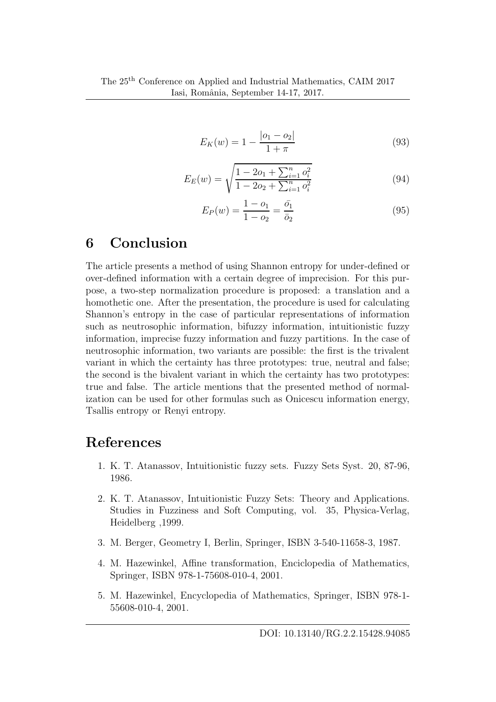$$
E_K(w) = 1 - \frac{|o_1 - o_2|}{1 + \pi} \tag{93}
$$

$$
E_E(w) = \sqrt{\frac{1 - 2o_1 + \sum_{i=1}^n o_i^2}{1 - 2o_2 + \sum_{i=1}^n o_i^2}}
$$
(94)

$$
E_P(w) = \frac{1 - o_1}{1 - o_2} = \frac{\bar{o_1}}{\bar{o_2}}
$$
\n(95)

## 6 Conclusion

The article presents a method of using Shannon entropy for under-defined or over-defined information with a certain degree of imprecision. For this purpose, a two-step normalization procedure is proposed: a translation and a homothetic one. After the presentation, the procedure is used for calculating Shannon's entropy in the case of particular representations of information such as neutrosophic information, bifuzzy information, intuitionistic fuzzy information, imprecise fuzzy information and fuzzy partitions. In the case of neutrosophic information, two variants are possible: the first is the trivalent variant in which the certainty has three prototypes: true, neutral and false; the second is the bivalent variant in which the certainty has two prototypes: true and false. The article mentions that the presented method of normalization can be used for other formulas such as Onicescu information energy, Tsallis entropy or Renyi entropy.

## <span id="page-15-3"></span>References

- <span id="page-15-4"></span>1. K. T. Atanassov, Intuitionistic fuzzy sets. Fuzzy Sets Syst. 20, 87-96, 1986.
- 2. K. T. Atanassov, Intuitionistic Fuzzy Sets: Theory and Applications. Studies in Fuzziness and Soft Computing, vol. 35, Physica-Verlag, Heidelberg ,1999.
- <span id="page-15-2"></span><span id="page-15-1"></span>3. M. Berger, Geometry I, Berlin, Springer, ISBN 3-540-11658-3, 1987.
- 4. M. Hazewinkel, Affine transformation, Enciclopedia of Mathematics, Springer, ISBN 978-1-75608-010-4, 2001.
- <span id="page-15-0"></span>5. M. Hazewinkel, Encyclopedia of Mathematics, Springer, ISBN 978-1- 55608-010-4, 2001.